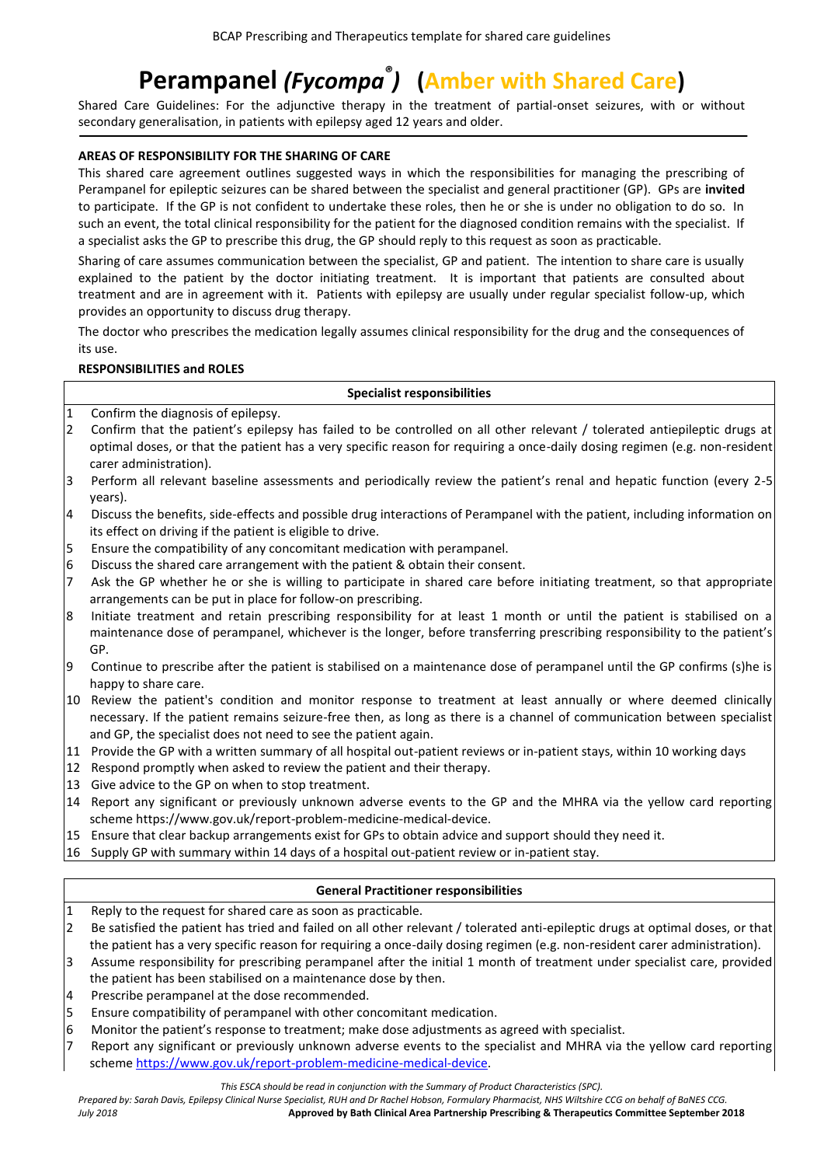# **Perampanel** *(Fycompa ® )* **(Amber with Shared Care)**

Shared Care Guidelines: For the adjunctive therapy in the treatment of partial-onset seizures, with or without secondary generalisation, in patients with epilepsy aged 12 years and older.

## **AREAS OF RESPONSIBILITY FOR THE SHARING OF CARE**

This shared care agreement outlines suggested ways in which the responsibilities for managing the prescribing of Perampanel for epileptic seizures can be shared between the specialist and general practitioner (GP). GPs are **invited** to participate. If the GP is not confident to undertake these roles, then he or she is under no obligation to do so. In such an event, the total clinical responsibility for the patient for the diagnosed condition remains with the specialist. If a specialist asks the GP to prescribe this drug, the GP should reply to this request as soon as practicable.

Sharing of care assumes communication between the specialist, GP and patient. The intention to share care is usually explained to the patient by the doctor initiating treatment. It is important that patients are consulted about treatment and are in agreement with it. Patients with epilepsy are usually under regular specialist follow-up, which provides an opportunity to discuss drug therapy.

The doctor who prescribes the medication legally assumes clinical responsibility for the drug and the consequences of its use.

## **RESPONSIBILITIES and ROLES**

# **Specialist responsibilities**

- 1 Confirm the diagnosis of epilepsy.
- 2 Confirm that the patient's epilepsy has failed to be controlled on all other relevant / tolerated antiepileptic drugs at optimal doses, or that the patient has a very specific reason for requiring a once-daily dosing regimen (e.g. non-resident carer administration).
- 3 Perform all relevant baseline assessments and periodically review the patient's renal and hepatic function (every 2-5 years).
- 4 Discuss the benefits, side-effects and possible drug interactions of Perampanel with the patient, including information on its effect on driving if the patient is eligible to drive.
- 5 Ensure the compatibility of any concomitant medication with perampanel.
- 6 Discuss the shared care arrangement with the patient & obtain their consent.
- 7 Ask the GP whether he or she is willing to participate in shared care before initiating treatment, so that appropriate arrangements can be put in place for follow-on prescribing.
- 8 Initiate treatment and retain prescribing responsibility for at least 1 month or until the patient is stabilised on a maintenance dose of perampanel, whichever is the longer, before transferring prescribing responsibility to the patient's GP.
- 9 Continue to prescribe after the patient is stabilised on a maintenance dose of perampanel until the GP confirms (s)he is happy to share care.
- 10 Review the patient's condition and monitor response to treatment at least annually or where deemed clinically necessary. If the patient remains seizure-free then, as long as there is a channel of communication between specialist and GP, the specialist does not need to see the patient again.
- 11 Provide the GP with a written summary of all hospital out-patient reviews or in-patient stays, within 10 working days
- 12 Respond promptly when asked to review the patient and their therapy.
- 13 Give advice to the GP on when to stop treatment.
- 14 Report any significant or previously unknown adverse events to the GP and the MHRA via the yellow card reporting scheme https://www.gov.uk/report-problem-medicine-medical-device.
- 15 Ensure that clear backup arrangements exist for GPs to obtain advice and support should they need it.
- 16 Supply GP with summary within 14 days of a hospital out-patient review or in-patient stay.

## **General Practitioner responsibilities**

- 1 Reply to the request for shared care as soon as practicable.
- 2 Be satisfied the patient has tried and failed on all other relevant / tolerated anti-epileptic drugs at optimal doses, or that the patient has a very specific reason for requiring a once-daily dosing regimen (e.g. non-resident carer administration).
- 3 Assume responsibility for prescribing perampanel after the initial 1 month of treatment under specialist care, provided the patient has been stabilised on a maintenance dose by then.
- 4 Prescribe perampanel at the dose recommended.
- 5 Ensure compatibility of perampanel with other concomitant medication.
- 6 Monitor the patient's response to treatment; make dose adjustments as agreed with specialist.
- 7 Report any significant or previously unknown adverse events to the specialist and MHRA via the yellow card reporting schem[e https://www.gov.uk/report-problem-medicine-medical-device.](https://www.gov.uk/report-problem-medicine-medical-device)

*Prepared by: Sarah Davis, Epilepsy Clinical Nurse Specialist, RUH and Dr Rachel Hobson, Formulary Pharmacist, NHS Wiltshire CCG on behalf of BaNES CCG. July 2018* **Approved by Bath Clinical Area Partnership Prescribing & Therapeutics Committee September 2018**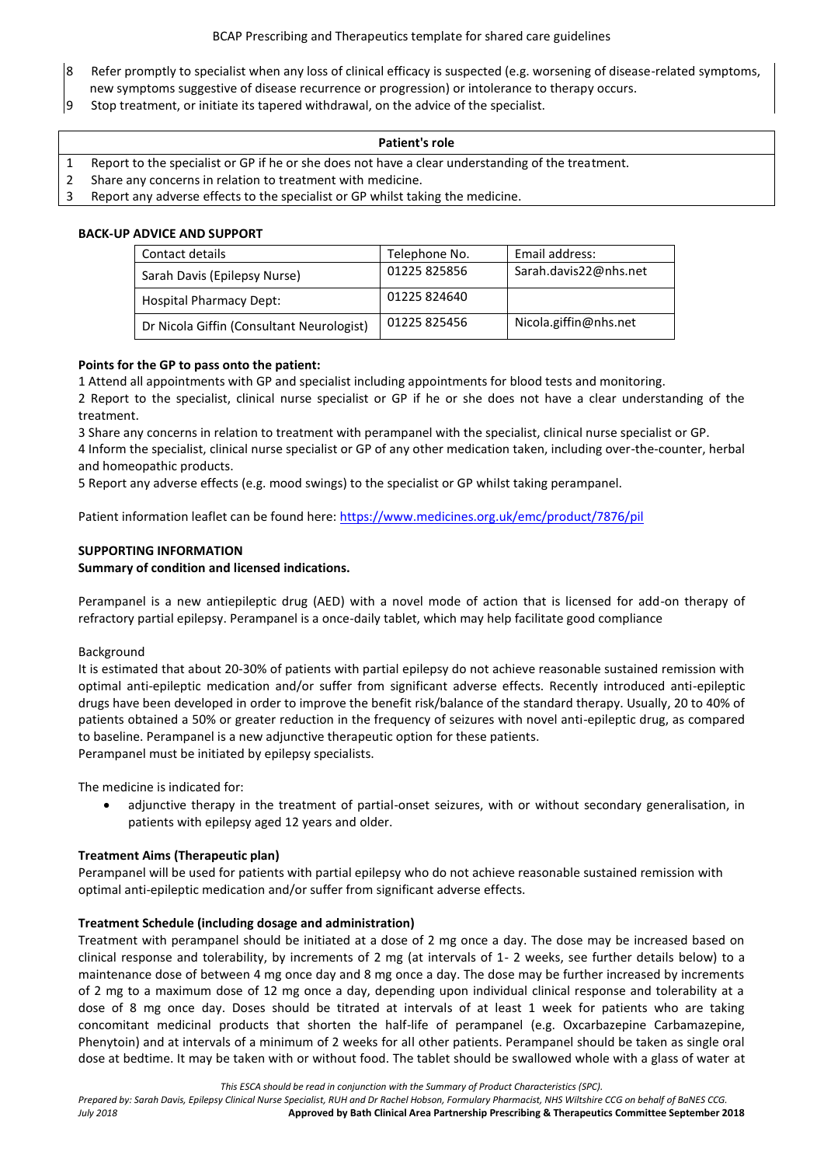- 8 Refer promptly to specialist when any loss of clinical efficacy is suspected (e.g. worsening of disease-related symptoms, new symptoms suggestive of disease recurrence or progression) or intolerance to therapy occurs.
- 9 Stop treatment, or initiate its tapered withdrawal, on the advice of the specialist.

#### **Patient's role**

- 1 Report to the specialist or GP if he or she does not have a clear understanding of the treatment.
- 2 Share any concerns in relation to treatment with medicine.
- 3 Report any adverse effects to the specialist or GP whilst taking the medicine.

## **BACK-UP ADVICE AND SUPPORT**

| Contact details                           | Telephone No. | Email address:        |
|-------------------------------------------|---------------|-----------------------|
| Sarah Davis (Epilepsy Nurse)              | 01225 825856  | Sarah.davis22@nhs.net |
| <b>Hospital Pharmacy Dept:</b>            | 01225 824640  |                       |
| Dr Nicola Giffin (Consultant Neurologist) | 01225825456   | Nicola.giffin@nhs.net |

# **Points for the GP to pass onto the patient:**

1 Attend all appointments with GP and specialist including appointments for blood tests and monitoring. 2 Report to the specialist, clinical nurse specialist or GP if he or she does not have a clear understanding of the treatment.

3 Share any concerns in relation to treatment with perampanel with the specialist, clinical nurse specialist or GP. 4 Inform the specialist, clinical nurse specialist or GP of any other medication taken, including over-the-counter, herbal and homeopathic products.

5 Report any adverse effects (e.g. mood swings) to the specialist or GP whilst taking perampanel.

Patient information leaflet can be found here[: https://www.medicines.org.uk/emc/product/7876/pil](https://www.medicines.org.uk/emc/product/7876/pil)

# **SUPPORTING INFORMATION**

# **Summary of condition and licensed indications.**

Perampanel is a new antiepileptic drug (AED) with a novel mode of action that is licensed for add-on therapy of refractory partial epilepsy. Perampanel is a once-daily tablet, which may help facilitate good compliance

## Background

It is estimated that about 20-30% of patients with partial epilepsy do not achieve reasonable sustained remission with optimal anti-epileptic medication and/or suffer from significant adverse effects. Recently introduced anti-epileptic drugs have been developed in order to improve the benefit risk/balance of the standard therapy. Usually, 20 to 40% of patients obtained a 50% or greater reduction in the frequency of seizures with novel anti-epileptic drug, as compared to baseline. Perampanel is a new adjunctive therapeutic option for these patients. Perampanel must be initiated by epilepsy specialists.

The medicine is indicated for:

 adjunctive therapy in the treatment of partial-onset seizures, with or without secondary generalisation, in patients with epilepsy aged 12 years and older.

## **Treatment Aims (Therapeutic plan)**

Perampanel will be used for patients with partial epilepsy who do not achieve reasonable sustained remission with optimal anti-epileptic medication and/or suffer from significant adverse effects.

## **Treatment Schedule (including dosage and administration)**

Treatment with perampanel should be initiated at a dose of 2 mg once a day. The dose may be increased based on clinical response and tolerability, by increments of 2 mg (at intervals of 1- 2 weeks, see further details below) to a maintenance dose of between 4 mg once day and 8 mg once a day. The dose may be further increased by increments of 2 mg to a maximum dose of 12 mg once a day, depending upon individual clinical response and tolerability at a dose of 8 mg once day. Doses should be titrated at intervals of at least 1 week for patients who are taking concomitant medicinal products that shorten the half-life of perampanel (e.g. Oxcarbazepine Carbamazepine, Phenytoin) and at intervals of a minimum of 2 weeks for all other patients. Perampanel should be taken as single oral dose at bedtime. It may be taken with or without food. The tablet should be swallowed whole with a glass of water at

*This ESCA should be read in conjunction with the Summary of Product Characteristics (SPC).*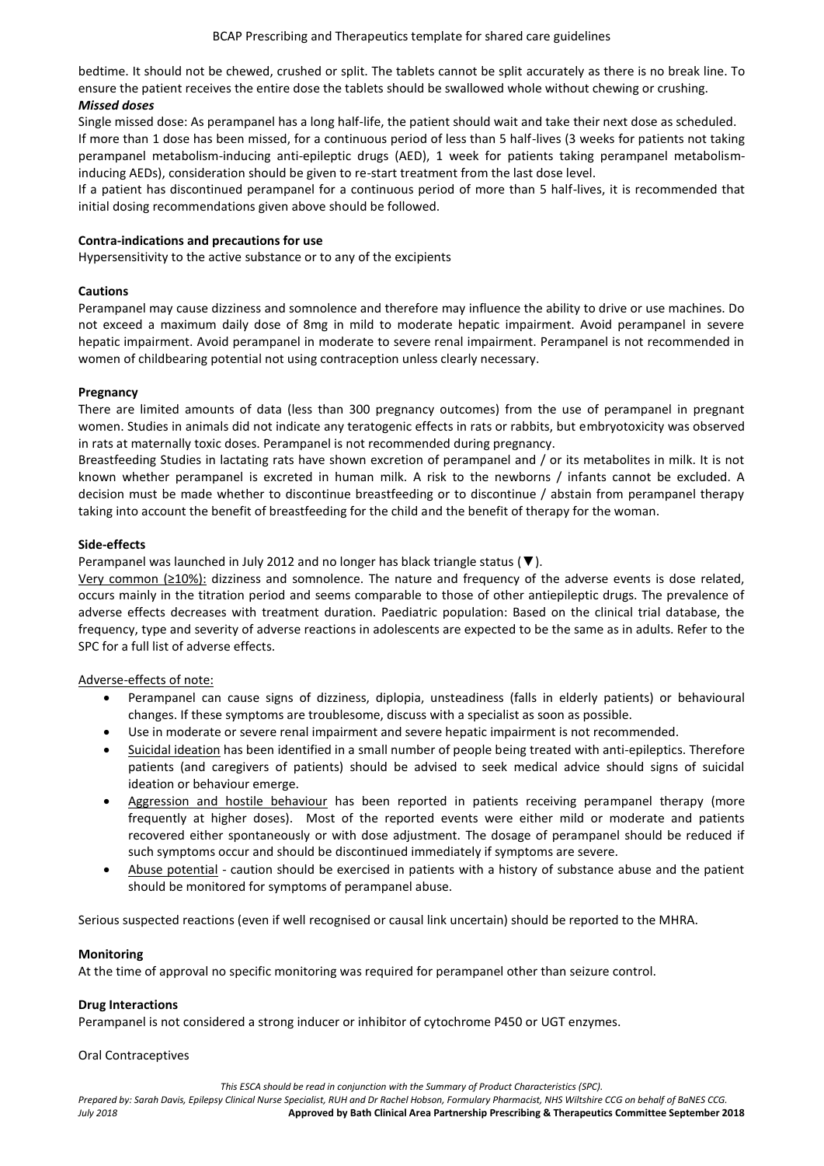bedtime. It should not be chewed, crushed or split. The tablets cannot be split accurately as there is no break line. To ensure the patient receives the entire dose the tablets should be swallowed whole without chewing or crushing.

# *Missed doses*

Single missed dose: As perampanel has a long half-life, the patient should wait and take their next dose as scheduled. If more than 1 dose has been missed, for a continuous period of less than 5 half-lives (3 weeks for patients not taking perampanel metabolism-inducing anti-epileptic drugs (AED), 1 week for patients taking perampanel metabolisminducing AEDs), consideration should be given to re-start treatment from the last dose level.

If a patient has discontinued perampanel for a continuous period of more than 5 half-lives, it is recommended that initial dosing recommendations given above should be followed.

#### **Contra-indications and precautions for use**

Hypersensitivity to the active substance or to any of the excipients

#### **Cautions**

Perampanel may cause dizziness and somnolence and therefore may influence the ability to drive or use machines. Do not exceed a maximum daily dose of 8mg in mild to moderate hepatic impairment. Avoid perampanel in severe hepatic impairment. Avoid perampanel in moderate to severe renal impairment. Perampanel is not recommended in women of childbearing potential not using contraception unless clearly necessary.

#### **Pregnancy**

There are limited amounts of data (less than 300 pregnancy outcomes) from the use of perampanel in pregnant women. Studies in animals did not indicate any teratogenic effects in rats or rabbits, but embryotoxicity was observed in rats at maternally toxic doses. Perampanel is not recommended during pregnancy.

Breastfeeding Studies in lactating rats have shown excretion of perampanel and / or its metabolites in milk. It is not known whether perampanel is excreted in human milk. A risk to the newborns / infants cannot be excluded. A decision must be made whether to discontinue breastfeeding or to discontinue / abstain from perampanel therapy taking into account the benefit of breastfeeding for the child and the benefit of therapy for the woman.

#### **Side-effects**

Perampanel was launched in July 2012 and no longer has black triangle status (▼).

Very common (≥10%): dizziness and somnolence. The nature and frequency of the adverse events is dose related, occurs mainly in the titration period and seems comparable to those of other antiepileptic drugs. The prevalence of adverse effects decreases with treatment duration. Paediatric population: Based on the clinical trial database, the frequency, type and severity of adverse reactions in adolescents are expected to be the same as in adults. Refer to the SPC for a full list of adverse effects.

## Adverse-effects of note:

- Perampanel can cause signs of dizziness, diplopia, unsteadiness (falls in elderly patients) or behavioural changes. If these symptoms are troublesome, discuss with a specialist as soon as possible.
- Use in moderate or severe renal impairment and severe hepatic impairment is not recommended.
- Suicidal ideation has been identified in a small number of people being treated with anti-epileptics. Therefore patients (and caregivers of patients) should be advised to seek medical advice should signs of suicidal ideation or behaviour emerge.
- Aggression and hostile behaviour has been reported in patients receiving perampanel therapy (more frequently at higher doses). Most of the reported events were either mild or moderate and patients recovered either spontaneously or with dose adjustment. The dosage of perampanel should be reduced if such symptoms occur and should be discontinued immediately if symptoms are severe.
- Abuse potential caution should be exercised in patients with a history of substance abuse and the patient should be monitored for symptoms of perampanel abuse.

Serious suspected reactions (even if well recognised or causal link uncertain) should be reported to the MHRA.

#### **Monitoring**

At the time of approval no specific monitoring was required for perampanel other than seizure control.

## **Drug Interactions**

Perampanel is not considered a strong inducer or inhibitor of cytochrome P450 or UGT enzymes.

#### Oral Contraceptives

*This ESCA should be read in conjunction with the Summary of Product Characteristics (SPC).*